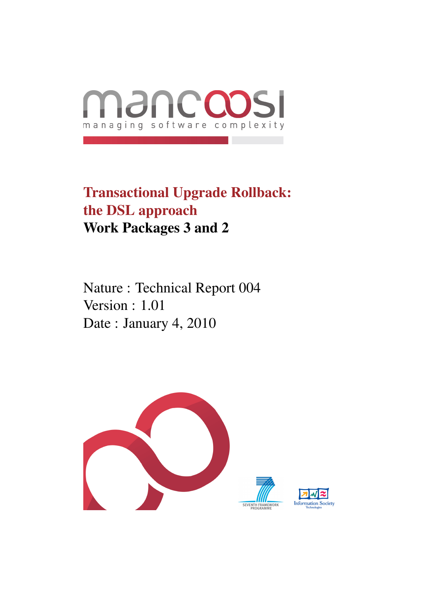

# Transactional Upgrade Rollback: the DSL approach Work Packages 3 and 2

Nature : Technical Report 004 Version : 1.01 Date : January 4, 2010

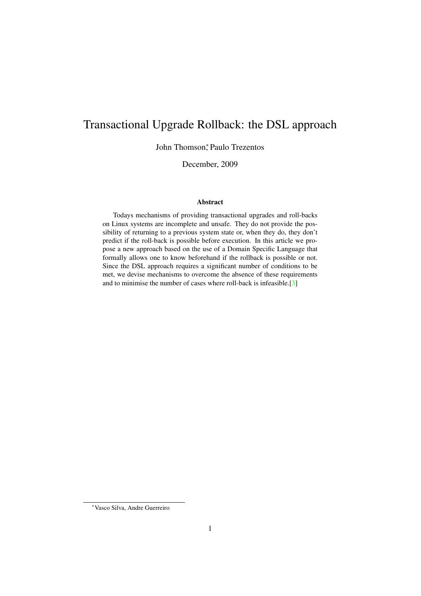# Transactional Upgrade Rollback: the DSL approach

John Thomson; Paulo Trezentos

December, 2009

#### Abstract

Todays mechanisms of providing transactional upgrades and roll-backs on Linux systems are incomplete and unsafe. They do not provide the possibility of returning to a previous system state or, when they do, they don't predict if the roll-back is possible before execution. In this article we propose a new approach based on the use of a Domain Specific Language that formally allows one to know beforehand if the rollback is possible or not. Since the DSL approach requires a significant number of conditions to be met, we devise mechanisms to overcome the absence of these requirements and to minimise the number of cases where roll-back is infeasible.[\[3\]](#page-42-0)

<sup>∗</sup>Vasco Silva, Andre Guerreiro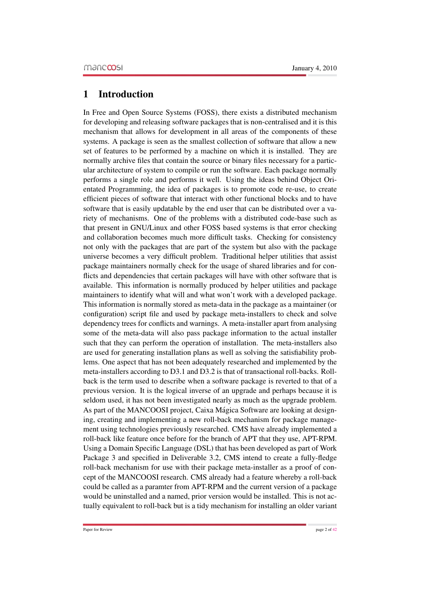# 1 Introduction

In Free and Open Source Systems (FOSS), there exists a distributed mechanism for developing and releasing software packages that is non-centralised and it is this mechanism that allows for development in all areas of the components of these systems. A package is seen as the smallest collection of software that allow a new set of features to be performed by a machine on which it is installed. They are normally archive files that contain the source or binary files necessary for a particular architecture of system to compile or run the software. Each package normally performs a single role and performs it well. Using the ideas behind Object Orientated Programming, the idea of packages is to promote code re-use, to create efficient pieces of software that interact with other functional blocks and to have software that is easily updatable by the end user that can be distributed over a variety of mechanisms. One of the problems with a distributed code-base such as that present in GNU/Linux and other FOSS based systems is that error checking and collaboration becomes much more difficult tasks. Checking for consistency not only with the packages that are part of the system but also with the package universe becomes a very difficult problem. Traditional helper utilities that assist package maintainers normally check for the usage of shared libraries and for conflicts and dependencies that certain packages will have with other software that is available. This information is normally produced by helper utilities and package maintainers to identify what will and what won't work with a developed package. This information is normally stored as meta-data in the package as a maintainer (or configuration) script file and used by package meta-installers to check and solve dependency trees for conflicts and warnings. A meta-installer apart from analysing some of the meta-data will also pass package information to the actual installer such that they can perform the operation of installation. The meta-installers also are used for generating installation plans as well as solving the satisfiability problems. One aspect that has not been adequately researched and implemented by the meta-installers according to D3.1 and D3.2 is that of transactional roll-backs. Rollback is the term used to describe when a software package is reverted to that of a previous version. It is the logical inverse of an upgrade and perhaps because it is seldom used, it has not been investigated nearly as much as the upgrade problem. As part of the MANCOOSI project, Caixa Mágica Software are looking at designing, creating and implementing a new roll-back mechanism for package management using technologies previously researched. CMS have already implemented a roll-back like feature once before for the branch of APT that they use, APT-RPM. Using a Domain Specific Language (DSL) that has been developed as part of Work Package 3 and specified in Deliverable 3.2, CMS intend to create a fully-fledge roll-back mechanism for use with their package meta-installer as a proof of concept of the MANCOOSI research. CMS already had a feature whereby a roll-back could be called as a paramter from APT-RPM and the current version of a package would be uninstalled and a named, prior version would be installed. This is not actually equivalent to roll-back but is a tidy mechanism for installing an older variant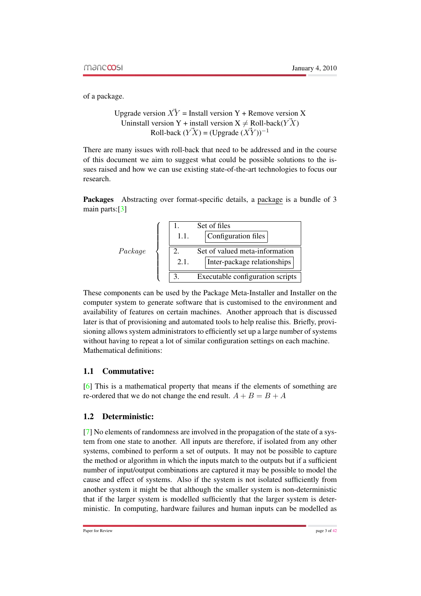of a package.

```
Upgrade version \overrightarrow{XY} = Install version Y + Remove version X
  Uninstall version Y + install version X \neq \text{Roll-back}(Y \vec{X})Roll-back (\vec{Y}X) = (Upgrade (\vec{XY})^{-1})
```
There are many issues with roll-back that need to be addressed and in the course of this document we aim to suggest what could be possible solutions to the issues raised and how we can use existing state-of-the-art technologies to focus our research.

Packages Abstracting over format-specific details, a package is a bundle of 3 main parts:[\[3\]](#page-42-0)



These components can be used by the Package Meta-Installer and Installer on the computer system to generate software that is customised to the environment and availability of features on certain machines. Another approach that is discussed later is that of provisioning and automated tools to help realise this. Briefly, provisioning allows system administrators to efficiently set up a large number of systems without having to repeat a lot of similar configuration settings on each machine. Mathematical definitions:

### 1.1 Commutative:

[\[6\]](#page-42-2) This is a mathematical property that means if the elements of something are re-ordered that we do not change the end result.  $A + B = B + A$ 

### 1.2 Deterministic:

[\[7\]](#page-42-3) No elements of randomness are involved in the propagation of the state of a system from one state to another. All inputs are therefore, if isolated from any other systems, combined to perform a set of outputs. It may not be possible to capture the method or algorithm in which the inputs match to the outputs but if a sufficient number of input/output combinations are captured it may be possible to model the cause and effect of systems. Also if the system is not isolated sufficiently from another system it might be that although the smaller system is non-deterministic that if the larger system is modelled sufficiently that the larger system is deterministic. In computing, hardware failures and human inputs can be modelled as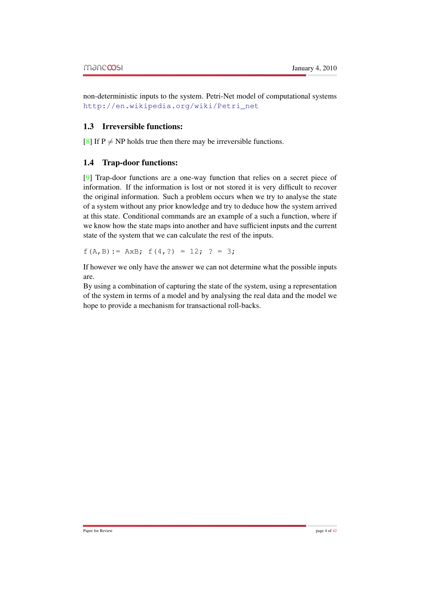non-deterministic inputs to the system. Petri-Net model of computational systems [http://en.wikipedia.org/wiki/Petri\\_net](http://en.wikipedia.org/wiki/Petri_net)

## 1.3 Irreversible functions:

[\[8\]](#page-42-4) If  $P \neq NP$  holds true then there may be irreversible functions.

### 1.4 Trap-door functions:

[\[9\]](#page-42-5) Trap-door functions are a one-way function that relies on a secret piece of information. If the information is lost or not stored it is very difficult to recover the original information. Such a problem occurs when we try to analyse the state of a system without any prior knowledge and try to deduce how the system arrived at this state. Conditional commands are an example of a such a function, where if we know how the state maps into another and have sufficient inputs and the current state of the system that we can calculate the rest of the inputs.

 $f(A, B) := AxB; f(4, ?) = 12; ? = 3;$ 

If however we only have the answer we can not determine what the possible inputs are.

By using a combination of capturing the state of the system, using a representation of the system in terms of a model and by analysing the real data and the model we hope to provide a mechanism for transactional roll-backs.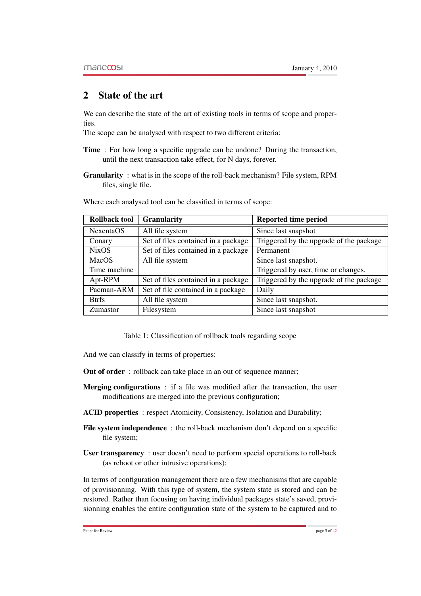# 2 State of the art

We can describe the state of the art of existing tools in terms of scope and properties.

The scope can be analysed with respect to two different criteria:

- Time : For how long a specific upgrade can be undone? During the transaction, until the next transaction take effect, for N days, forever.
- Granularity : what is in the scope of the roll-back mechanism? File system, RPM files, single file.

| <b>Rollback tool</b> | <b>Granularity</b>                  | <b>Reported time period</b>             |
|----------------------|-------------------------------------|-----------------------------------------|
| NexentaOS            | All file system                     | Since last snapshot                     |
| Conary               | Set of files contained in a package | Triggered by the upgrade of the package |
| <b>NixOS</b>         | Set of files contained in a package | Permanent                               |
| MacOS                | All file system                     | Since last snapshot.                    |
| Time machine         |                                     | Triggered by user, time or changes.     |
| Apt-RPM              | Set of files contained in a package | Triggered by the upgrade of the package |
| Pacman-ARM           | Set of file contained in a package  | Daily                                   |
| <b>Btrfs</b>         | All file system                     | Since last snapshot.                    |
| Zumastor             | Filesystem                          | Since last snapshot                     |

Where each analysed tool can be classified in terms of scope:

Table 1: Classification of rollback tools regarding scope

And we can classify in terms of properties:

- Out of order : rollback can take place in an out of sequence manner;
- Merging configurations : if a file was modified after the transaction, the user modifications are merged into the previous configuration;
- ACID properties: respect Atomicity, Consistency, Isolation and Durability;
- File system independence : the roll-back mechanism don't depend on a specific file system;
- User transparency : user doesn't need to perform special operations to roll-back (as reboot or other intrusive operations);

In terms of configuration management there are a few mechanisms that are capable of provisionning. With this type of system, the system state is stored and can be restored. Rather than focusing on having individual packages state's saved, provisionning enables the entire configuration state of the system to be captured and to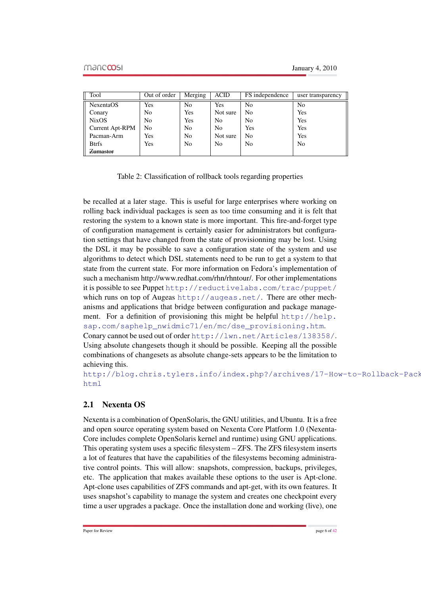| Tool                   | Out of order   | Merging | <b>ACID</b>    | FS independence | user transparency |
|------------------------|----------------|---------|----------------|-----------------|-------------------|
| <b>NexentaOS</b>       | Yes            | No      | Yes            | N <sub>0</sub>  | N <sub>0</sub>    |
| Conary                 | N <sub>0</sub> | Yes     | Not sure       | No              | Yes               |
| <b>NixOS</b>           | N <sub>0</sub> | Yes     | N <sub>0</sub> | No              | Yes               |
| <b>Current Apt-RPM</b> | N <sub>0</sub> | No      | N <sub>0</sub> | Yes             | Yes               |
| Pacman-Arm             | Yes            | No      | Not sure       | N <sub>0</sub>  | Yes               |
| <b>Btrfs</b>           | Yes            | No      | N <sub>0</sub> | No              | N <sub>0</sub>    |
| Zumastor               |                |         |                |                 |                   |

Table 2: Classification of rollback tools regarding properties

be recalled at a later stage. This is useful for large enterprises where working on rolling back individual packages is seen as too time consuming and it is felt that restoring the system to a known state is more important. This fire-and-forget type of configuration management is certainly easier for administrators but configuration settings that have changed from the state of provisionning may be lost. Using the DSL it may be possible to save a configuration state of the system and use algorithms to detect which DSL statements need to be run to get a system to that state from the current state. For more information on Fedora's implementation of such a mechanism http://www.redhat.com/rhn/rhntour/. For other implementations it is possible to see Puppet <http://reductivelabs.com/trac/puppet/> which runs on top of Augeas <http://augeas.net/>. There are other mechanisms and applications that bridge between configuration and package management. For a definition of provisioning this might be helpful [http://help.](http://help.sap.com/saphelp_nwidmic71/en/mc/dse_provisioning.htm) [sap.com/saphelp\\_nwidmic71/en/mc/dse\\_provisioning.htm](http://help.sap.com/saphelp_nwidmic71/en/mc/dse_provisioning.htm). Conary cannot be used out of order <http://lwn.net/Articles/138358/>. Using absolute changesets though it should be possible. Keeping all the possible combinations of changesets as absolute change-sets appears to be the limitation to achieving this.

[http://blog.chris.tylers.info/index.php?/archives/17-Ho](http://blog.chris.tylers.info/index.php?/archives/17-How-to-Rollback-Package-UpdatesInstallation-on-Fedora.html)w-to-Rollback-Pack [html](http://blog.chris.tylers.info/index.php?/archives/17-How-to-Rollback-Package-UpdatesInstallation-on-Fedora.html)

# 2.1 Nexenta OS

Nexenta is a combination of OpenSolaris, the GNU utilities, and Ubuntu. It is a free and open source operating system based on Nexenta Core Platform 1.0 (Nexenta-Core includes complete OpenSolaris kernel and runtime) using GNU applications. This operating system uses a specific filesystem – ZFS. The ZFS filesystem inserts a lot of features that have the capabilities of the filesystems becoming administrative control points. This will allow: snapshots, compression, backups, privileges, etc. The application that makes available these options to the user is Apt-clone. Apt-clone uses capabilities of ZFS commands and apt-get, with its own features. It uses snapshot's capability to manage the system and creates one checkpoint every time a user upgrades a package. Once the installation done and working (live), one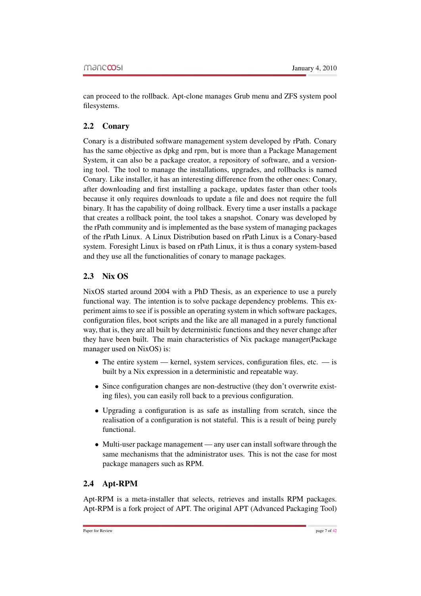can proceed to the rollback. Apt-clone manages Grub menu and ZFS system pool filesystems.

## 2.2 Conary

Conary is a distributed software management system developed by rPath. Conary has the same objective as dpkg and rpm, but is more than a Package Management System, it can also be a package creator, a repository of software, and a versioning tool. The tool to manage the installations, upgrades, and rollbacks is named Conary. Like installer, it has an interesting difference from the other ones: Conary, after downloading and first installing a package, updates faster than other tools because it only requires downloads to update a file and does not require the full binary. It has the capability of doing rollback. Every time a user installs a package that creates a rollback point, the tool takes a snapshot. Conary was developed by the rPath community and is implemented as the base system of managing packages of the rPath Linux. A Linux Distribution based on rPath Linux is a Conary-based system. Foresight Linux is based on rPath Linux, it is thus a conary system-based and they use all the functionalities of conary to manage packages.

# 2.3 Nix OS

NixOS started around 2004 with a PhD Thesis, as an experience to use a purely functional way. The intention is to solve package dependency problems. This experiment aims to see if is possible an operating system in which software packages, configuration files, boot scripts and the like are all managed in a purely functional way, that is, they are all built by deterministic functions and they never change after they have been built. The main characteristics of Nix package manager(Package manager used on NixOS) is:

- The entire system kernel, system services, configuration files, etc.  $-$  is built by a Nix expression in a deterministic and repeatable way.
- Since configuration changes are non-destructive (they don't overwrite existing files), you can easily roll back to a previous configuration.
- Upgrading a configuration is as safe as installing from scratch, since the realisation of a configuration is not stateful. This is a result of being purely functional.
- Multi-user package management any user can install software through the same mechanisms that the administrator uses. This is not the case for most package managers such as RPM.

# 2.4 Apt-RPM

Apt-RPM is a meta-installer that selects, retrieves and installs RPM packages. Apt-RPM is a fork project of APT. The original APT (Advanced Packaging Tool)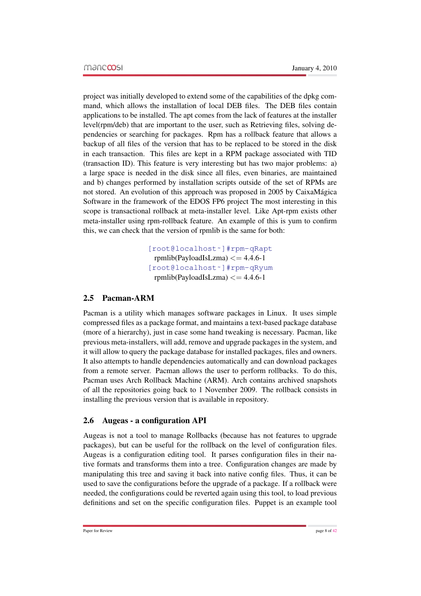project was initially developed to extend some of the capabilities of the dpkg command, which allows the installation of local DEB files. The DEB files contain applications to be installed. The apt comes from the lack of features at the installer level(rpm/deb) that are important to the user, such as Retrieving files, solving dependencies or searching for packages. Rpm has a rollback feature that allows a backup of all files of the version that has to be replaced to be stored in the disk in each transaction. This files are kept in a RPM package associated with TID (transaction ID). This feature is very interesting but has two major problems: a) a large space is needed in the disk since all files, even binaries, are maintained and b) changes performed by installation scripts outside of the set of RPMs are not stored. An evolution of this approach was proposed in 2005 by CaixaMagica ´ Software in the framework of the EDOS FP6 project The most interesting in this scope is transactional rollback at meta-installer level. Like Apt-rpm exists other meta-installer using rpm-rollback feature. An example of this is yum to confirm this, we can check that the version of rpmlib is the same for both:

> [\[root@localhost˜\]#rpm-qRapt]([root@localhost ~]# rpm -qR apt) rpmlib(PayloadIsLzma)  $\leq$  = 4.4.6-1 [\[root@localhost˜\]#rpm-qRyum]([root@localhost ~]# rpm -qR yum) rpmlib(PayloadIsLzma)  $\leq$  = 4.4.6-1

### 2.5 Pacman-ARM

Pacman is a utility which manages software packages in Linux. It uses simple compressed files as a package format, and maintains a text-based package database (more of a hierarchy), just in case some hand tweaking is necessary. Pacman, like previous meta-installers, will add, remove and upgrade packages in the system, and it will allow to query the package database for installed packages, files and owners. It also attempts to handle dependencies automatically and can download packages from a remote server. Pacman allows the user to perform rollbacks. To do this, Pacman uses Arch Rollback Machine (ARM). Arch contains archived snapshots of all the repositories going back to 1 November 2009. The rollback consists in installing the previous version that is available in repository.

#### 2.6 Augeas - a configuration API

Augeas is not a tool to manage Rollbacks (because has not features to upgrade packages), but can be useful for the rollback on the level of configuration files. Augeas is a configuration editing tool. It parses configuration files in their native formats and transforms them into a tree. Configuration changes are made by manipulating this tree and saving it back into native config files. Thus, it can be used to save the configurations before the upgrade of a package. If a rollback were needed, the configurations could be reverted again using this tool, to load previous definitions and set on the specific configuration files. Puppet is an example tool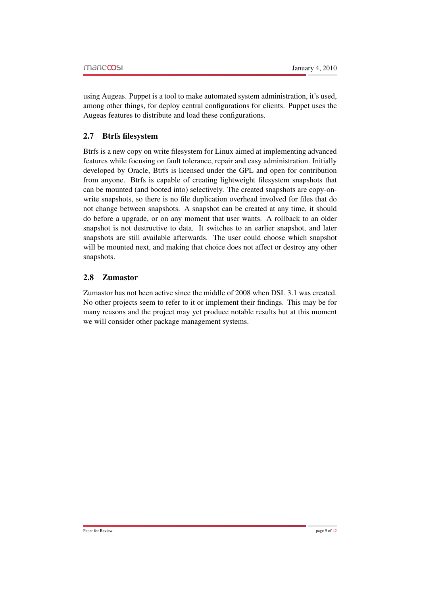using Augeas. Puppet is a tool to make automated system administration, it's used, among other things, for deploy central configurations for clients. Puppet uses the Augeas features to distribute and load these configurations.

# 2.7 Btrfs filesystem

Btrfs is a new copy on write filesystem for Linux aimed at implementing advanced features while focusing on fault tolerance, repair and easy administration. Initially developed by Oracle, Btrfs is licensed under the GPL and open for contribution from anyone. Btrfs is capable of creating lightweight filesystem snapshots that can be mounted (and booted into) selectively. The created snapshots are copy-onwrite snapshots, so there is no file duplication overhead involved for files that do not change between snapshots. A snapshot can be created at any time, it should do before a upgrade, or on any moment that user wants. A rollback to an older snapshot is not destructive to data. It switches to an earlier snapshot, and later snapshots are still available afterwards. The user could choose which snapshot will be mounted next, and making that choice does not affect or destroy any other snapshots.

# 2.8 Zumastor

Zumastor has not been active since the middle of 2008 when DSL 3.1 was created. No other projects seem to refer to it or implement their findings. This may be for many reasons and the project may yet produce notable results but at this moment we will consider other package management systems.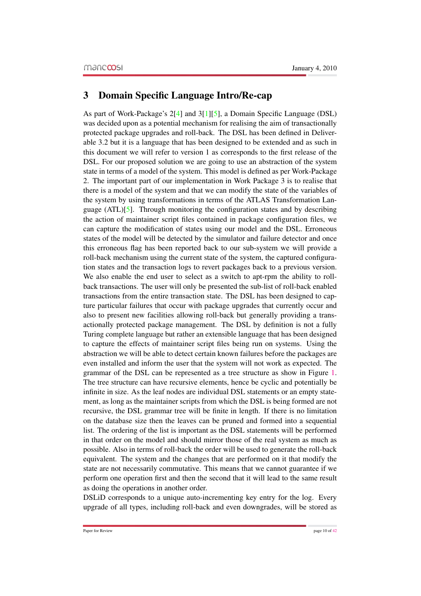# 3 Domain Specific Language Intro/Re-cap

As part of Work-Package's 2[\[4\]](#page-42-6) and 3[\[1\]](#page-42-7)[\[5\]](#page-42-8), a Domain Specific Language (DSL) was decided upon as a potential mechanism for realising the aim of transactionally protected package upgrades and roll-back. The DSL has been defined in Deliverable 3.2 but it is a language that has been designed to be extended and as such in this document we will refer to version 1 as corresponds to the first release of the DSL. For our proposed solution we are going to use an abstraction of the system state in terms of a model of the system. This model is defined as per Work-Package 2. The important part of our implementation in Work Package 3 is to realise that there is a model of the system and that we can modify the state of the variables of the system by using transformations in terms of the ATLAS Transformation Language  $(ATL)[5]$  $(ATL)[5]$ . Through monitoring the configuration states and by describing the action of maintainer script files contained in package configuration files, we can capture the modification of states using our model and the DSL. Erroneous states of the model will be detected by the simulator and failure detector and once this erroneous flag has been reported back to our sub-system we will provide a roll-back mechanism using the current state of the system, the captured configuration states and the transaction logs to revert packages back to a previous version. We also enable the end user to select as a switch to apt-rpm the ability to rollback transactions. The user will only be presented the sub-list of roll-back enabled transactions from the entire transaction state. The DSL has been designed to capture particular failures that occur with package upgrades that currently occur and also to present new facilities allowing roll-back but generally providing a transactionally protected package management. The DSL by definition is not a fully Turing complete language but rather an extensible language that has been designed to capture the effects of maintainer script files being run on systems. Using the abstraction we will be able to detect certain known failures before the packages are even installed and inform the user that the system will not work as expected. The grammar of the DSL can be represented as a tree structure as show in Figure [1.](#page-11-0) The tree structure can have recursive elements, hence be cyclic and potentially be infinite in size. As the leaf nodes are individual DSL statements or an empty statement, as long as the maintainer scripts from which the DSL is being formed are not recursive, the DSL grammar tree will be finite in length. If there is no limitation on the database size then the leaves can be pruned and formed into a sequential list. The ordering of the list is important as the DSL statements will be performed in that order on the model and should mirror those of the real system as much as possible. Also in terms of roll-back the order will be used to generate the roll-back equivalent. The system and the changes that are performed on it that modify the state are not necessarily commutative. This means that we cannot guarantee if we perform one operation first and then the second that it will lead to the same result as doing the operations in another order.

DSLiD corresponds to a unique auto-incrementing key entry for the log. Every upgrade of all types, including roll-back and even downgrades, will be stored as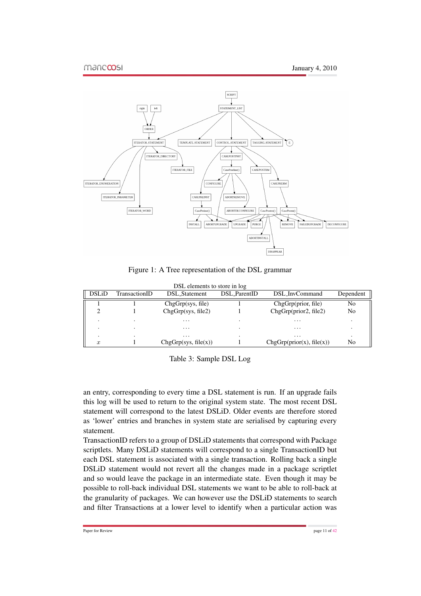

<span id="page-11-0"></span>Figure 1: A Tree representation of the DSL grammar

|                  | DSL elements to store in log |                      |              |                           |           |  |  |
|------------------|------------------------------|----------------------|--------------|---------------------------|-----------|--|--|
| <b>DSLiD</b>     | TransactionID                | DSL Statement        | DSL ParentID | DSL_InvCommand            | Dependent |  |  |
|                  |                              | ChgGrp(sys, file)    |              | ChgGrp(prior, file)       | No        |  |  |
|                  |                              | ChgGrp(sys, file2)   |              | ChgGrp(prior2, file2)     | No        |  |  |
|                  |                              | $\cdot$              |              | .                         |           |  |  |
|                  |                              | $\cdot$              |              | $\cdot$                   |           |  |  |
|                  |                              | $\cdots$             |              | $\cdots$                  |           |  |  |
| $\boldsymbol{x}$ |                              | ChgGrp(sys, file(x)) |              | ChgGrp(prior(x), file(x)) | No        |  |  |

Table 3: Sample DSL Log

an entry, corresponding to every time a DSL statement is run. If an upgrade fails this log will be used to return to the original system state. The most recent DSL statement will correspond to the latest DSLiD. Older events are therefore stored as 'lower' entries and branches in system state are serialised by capturing every statement.

TransactionID refers to a group of DSLiD statements that correspond with Package scriptlets. Many DSLiD statements will correspond to a single TransactionID but each DSL statement is associated with a single transaction. Rolling back a single DSLiD statement would not revert all the changes made in a package scriptlet and so would leave the package in an intermediate state. Even though it may be possible to roll-back individual DSL statements we want to be able to roll-back at the granularity of packages. We can however use the DSLiD statements to search and filter Transactions at a lower level to identify when a particular action was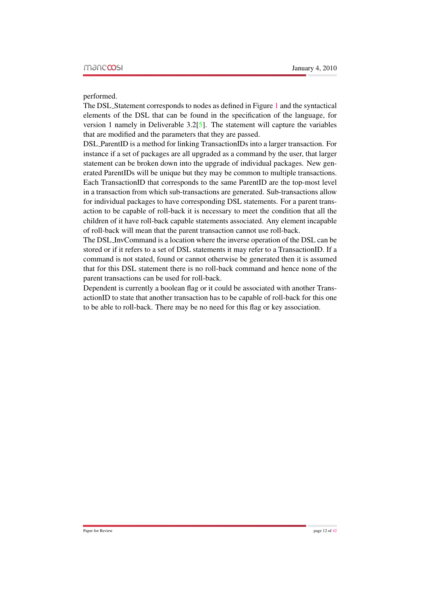performed.

The DSL Statement corresponds to nodes as defined in Figure [1](#page-11-0) and the syntactical elements of the DSL that can be found in the specification of the language, for version 1 namely in Deliverable 3.2[\[5\]](#page-42-8). The statement will capture the variables that are modified and the parameters that they are passed.

DSL ParentID is a method for linking TransactionIDs into a larger transaction. For instance if a set of packages are all upgraded as a command by the user, that larger statement can be broken down into the upgrade of individual packages. New generated ParentIDs will be unique but they may be common to multiple transactions. Each TransactionID that corresponds to the same ParentID are the top-most level in a transaction from which sub-transactions are generated. Sub-transactions allow for individual packages to have corresponding DSL statements. For a parent transaction to be capable of roll-back it is necessary to meet the condition that all the children of it have roll-back capable statements associated. Any element incapable of roll-back will mean that the parent transaction cannot use roll-back.

The DSL InvCommand is a location where the inverse operation of the DSL can be stored or if it refers to a set of DSL statements it may refer to a TransactionID. If a command is not stated, found or cannot otherwise be generated then it is assumed that for this DSL statement there is no roll-back command and hence none of the parent transactions can be used for roll-back.

Dependent is currently a boolean flag or it could be associated with another TransactionID to state that another transaction has to be capable of roll-back for this one to be able to roll-back. There may be no need for this flag or key association.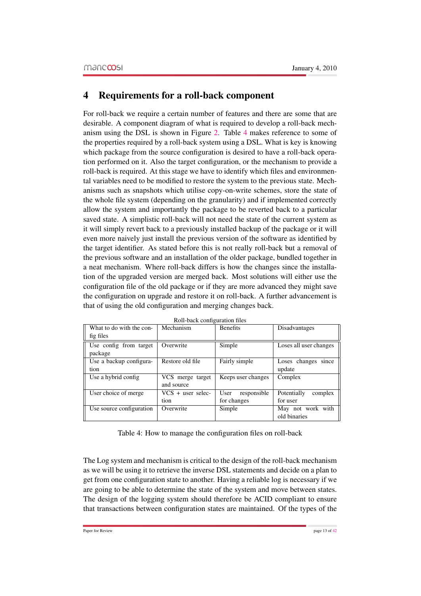# 4 Requirements for a roll-back component

For roll-back we require a certain number of features and there are some that are desirable. A component diagram of what is required to develop a roll-back mechanism using the DSL is shown in Figure [2.](#page-14-0) Table [4](#page-14-1) makes reference to some of the properties required by a roll-back system using a DSL. What is key is knowing which package from the source configuration is desired to have a roll-back operation performed on it. Also the target configuration, or the mechanism to provide a roll-back is required. At this stage we have to identify which files and environmental variables need to be modified to restore the system to the previous state. Mechanisms such as snapshots which utilise copy-on-write schemes, store the state of the whole file system (depending on the granularity) and if implemented correctly allow the system and importantly the package to be reverted back to a particular saved state. A simplistic roll-back will not need the state of the current system as it will simply revert back to a previously installed backup of the package or it will even more naively just install the previous version of the software as identified by the target identifier. As stated before this is not really roll-back but a removal of the previous software and an installation of the older package, bundled together in a neat mechanism. Where roll-back differs is how the changes since the installation of the upgraded version are merged back. Most solutions will either use the configuration file of the old package or if they are more advanced they might save the configuration on upgrade and restore it on roll-back. A further advancement is that of using the old configuration and merging changes back.

| What to do with the con- | Mechanism           | <b>Benefits</b>     | Disadvantages          |
|--------------------------|---------------------|---------------------|------------------------|
| fig files                |                     |                     |                        |
| Use config from target   | Overwrite           | Simple              | Loses all user changes |
| package                  |                     |                     |                        |
| Use a backup configura-  | Restore old file    | Fairly simple       | Loses changes<br>since |
| tion                     |                     |                     | update                 |
| Use a hybrid config.     | VCS merge target    | Keeps user changes  | Complex                |
|                          | and source          |                     |                        |
| User choice of merge     | $VCS + user selec-$ | User<br>responsible | Potentially<br>complex |
|                          | tion                | for changes         | for user               |
| Use source configuration | Overwrite           | Simple              | May not work with      |
|                          |                     |                     | old binaries           |

Roll-back configuration files

Table 4: How to manage the configuration files on roll-back

The Log system and mechanism is critical to the design of the roll-back mechanism as we will be using it to retrieve the inverse DSL statements and decide on a plan to get from one configuration state to another. Having a reliable log is necessary if we are going to be able to determine the state of the system and move between states. The design of the logging system should therefore be ACID compliant to ensure that transactions between configuration states are maintained. Of the types of the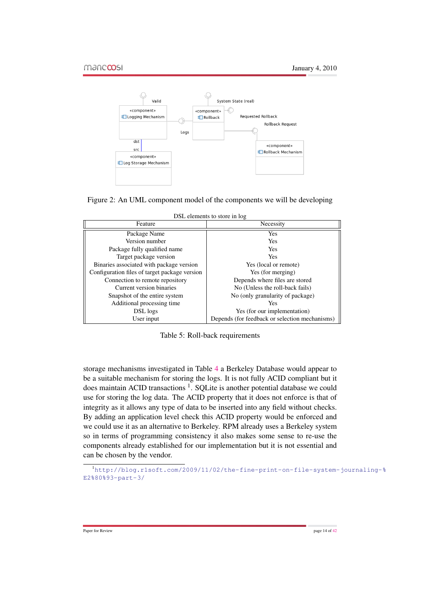

<span id="page-14-0"></span>

| DSL elements to store in log |  |
|------------------------------|--|
|------------------------------|--|

| Feature                                       | Necessity                                      |
|-----------------------------------------------|------------------------------------------------|
| Package Name                                  | <b>Yes</b>                                     |
| Version number                                | <b>Yes</b>                                     |
| Package fully qualified name                  | <b>Yes</b>                                     |
| Target package version                        | <b>Yes</b>                                     |
| Binaries associated with package version      | Yes (local or remote)                          |
| Configuration files of target package version | Yes (for merging)                              |
| Connection to remote repository               | Depends where files are stored                 |
| Current version binaries                      | No (Unless the roll-back fails)                |
| Snapshot of the entire system                 | No (only granularity of package)               |
| Additional processing time                    | <b>Yes</b>                                     |
| DSL logs                                      | Yes (for our implementation)                   |
| User input                                    | Depends (for feedback or selection mechanisms) |

<span id="page-14-1"></span>Table 5: Roll-back requirements

storage mechanisms investigated in Table [4](#page-15-0) a Berkeley Database would appear to be a suitable mechanism for storing the logs. It is not fully ACID compliant but it does maintain ACID transactions<sup>1</sup>. SQLite is another potential database we could use for storing the log data. The ACID property that it does not enforce is that of integrity as it allows any type of data to be inserted into any field without checks. By adding an application level check this ACID property would be enforced and we could use it as an alternative to Berkeley. RPM already uses a Berkeley system so in terms of programming consistency it also makes some sense to re-use the components already established for our implementation but it is not essential and can be chosen by the vendor.

<sup>1</sup>[http://blog.r1soft.com/2009/11/02/the-fine-print-on-file-system-](http://blog.r1soft.com/2009/11/02/the-fine-print-on-file-system-journaling-%E2%80%93-part-3/)journaling-% [E2%80%93-part-3/](http://blog.r1soft.com/2009/11/02/the-fine-print-on-file-system-journaling-%E2%80%93-part-3/)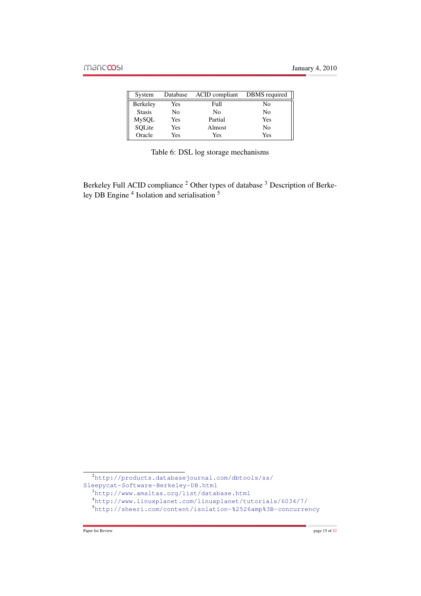| System        | Database | ACID compliant | DBMS required |
|---------------|----------|----------------|---------------|
| Berkeley      | Yes      | Full           | No            |
| <b>Stasis</b> | No       | No             | No            |
| MySQL         | Yes      | Partial        | Yes           |
| SQLite        | Yes      | Almost         | No            |
| Oracle        | Yes      | Yes            | Yes           |

<span id="page-15-0"></span>

|  |  |  | Table 6: DSL log storage mechanisms |
|--|--|--|-------------------------------------|
|--|--|--|-------------------------------------|

Berkeley Full ACID compliance <sup>2</sup> Other types of database <sup>3</sup> Description of Berkeley DB Engine<sup>4</sup> Isolation and serialisation <sup>5</sup>

<sup>2</sup>[http://products.databasejournal.com/dbtools/ss/](http://products.databasejournal.com/dbtools/ss/Sleepycat-Software-Berkeley-DB.html) [Sleepycat-Software-Berkeley-DB.html](http://products.databasejournal.com/dbtools/ss/Sleepycat-Software-Berkeley-DB.html)

<sup>3</sup><http://www.amaltas.org/list/database.html>

<sup>4</sup><http://www.linuxplanet.com/linuxplanet/tutorials/6034/7/>

<sup>5</sup><http://sheeri.com/content/isolation-%2526amp%3B-concurrency>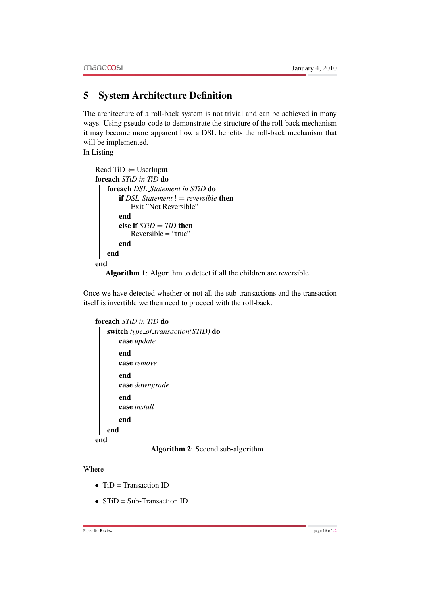# 5 System Architecture Definition

The architecture of a roll-back system is not trivial and can be achieved in many ways. Using pseudo-code to demonstrate the structure of the roll-back mechanism it may become more apparent how a DSL benefits the roll-back mechanism that will be implemented.

In Listing

```
Read TiD \Leftarrow UserInputforeach STiD in TiD do
   foreach DSL Statement in STiD do
       if DSL Statement != reversible then
        Exit "Not Reversible"
       end
       else if STiD = TiD then
        \blacksquare Reversible = "true"
       end
   end
end
```
Algorithm 1: Algorithm to detect if all the children are reversible

Once we have detected whether or not all the sub-transactions and the transaction itself is invertible we then need to proceed with the roll-back.

```
foreach STiD in TiD do
```

|    | switch type_of_transaction( $STiD$ ) do |
|----|-----------------------------------------|
|    | case <i>update</i>                      |
|    | end                                     |
|    | case remove                             |
|    | end                                     |
|    | case downgrade                          |
|    | end                                     |
|    | case install                            |
|    | end                                     |
|    | end                                     |
| en |                                         |

Algorithm 2: Second sub-algorithm

Where

- $\overline{ID}$  = Transaction ID
- STiD = Sub-Transaction ID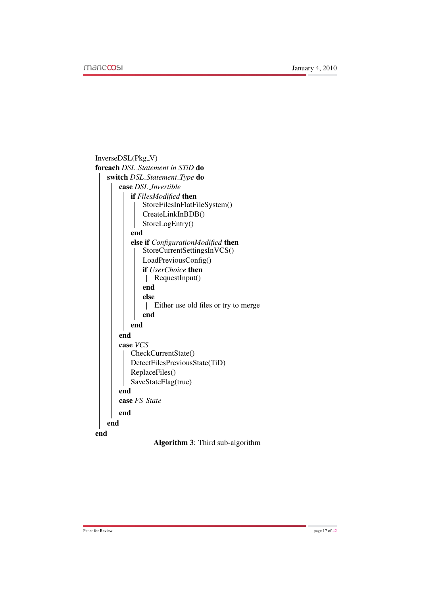

Algorithm 3: Third sub-algorithm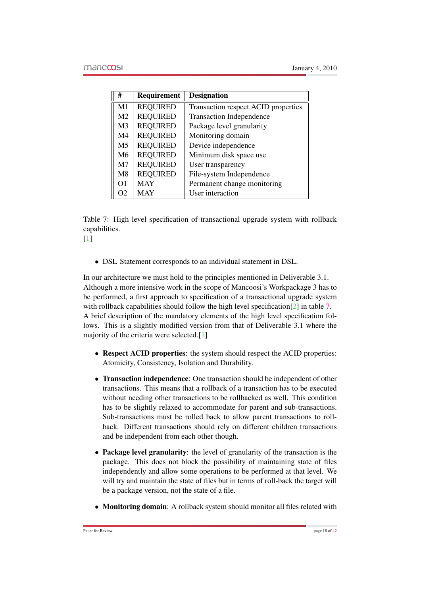| #              | Requirement     | <b>Designation</b>                  |
|----------------|-----------------|-------------------------------------|
| M1             | <b>REQUIRED</b> | Transaction respect ACID properties |
| M <sub>2</sub> | <b>REQUIRED</b> | <b>Transaction Independence</b>     |
| M <sub>3</sub> | <b>REQUIRED</b> | Package level granularity           |
| M4             | <b>REQUIRED</b> | Monitoring domain                   |
| M5             | <b>REQUIRED</b> | Device independence                 |
| M6             | <b>REQUIRED</b> | Minimum disk space use              |
| M <sub>7</sub> | <b>REQUIRED</b> | User transparency                   |
| M8             | <b>REQUIRED</b> | File-system Independence            |
| $\Omega$       | <b>MAY</b>      | Permanent change monitoring         |
| O2             | <b>MAY</b>      | User interaction                    |

<span id="page-18-0"></span>Table 7: High level specification of transactional upgrade system with rollback capabilities.

 $[1]$ 

• DSL Statement corresponds to an individual statement in DSL.

In our architecture we must hold to the principles mentioned in Deliverable 3.1. Although a more intensive work in the scope of Mancoosi's Workpackage 3 has to be performed, a first approach to specification of a transactional upgrade system with rollback capabilities should follow the high level specification<sup>[\[2\]](#page-42-9)</sup> in table [7.](#page-18-0) A brief description of the mandatory elements of the high level specification follows. This is a slightly modified version from that of Deliverable 3.1 where the majority of the criteria were selected.[\[1\]](#page-42-7)

- Respect ACID properties: the system should respect the ACID properties: Atomicity, Consistency, Isolation and Durability.
- Transaction independence: One transaction should be independent of other transactions. This means that a rollback of a transaction has to be executed without needing other transactions to be rollbacked as well. This condition has to be slightly relaxed to accommodate for parent and sub-transactions. Sub-transactions must be rolled back to allow parent transactions to rollback. Different transactions should rely on different children transactions and be independent from each other though.
- Package level granularity: the level of granularity of the transaction is the package. This does not block the possibility of maintaining state of files independently and allow some operations to be performed at that level. We will try and maintain the state of files but in terms of roll-back the target will be a package version, not the state of a file.
- Monitoring domain: A rollback system should monitor all files related with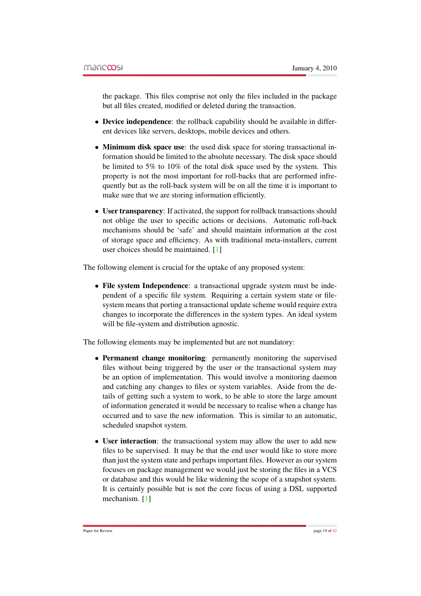the package. This files comprise not only the files included in the package but all files created, modified or deleted during the transaction.

- Device independence: the rollback capability should be available in different devices like servers, desktops, mobile devices and others.
- Minimum disk space use: the used disk space for storing transactional information should be limited to the absolute necessary. The disk space should be limited to 5% to 10% of the total disk space used by the system. This property is not the most important for roll-backs that are performed infrequently but as the roll-back system will be on all the time it is important to make sure that we are storing information efficiently.
- User transparency: If activated, the support for rollback transactions should not oblige the user to specific actions or decisions. Automatic roll-back mechanisms should be 'safe' and should maintain information at the cost of storage space and efficiency. As with traditional meta-installers, current user choices should be maintained. [\[1\]](#page-42-7)

The following element is crucial for the uptake of any proposed system:

• File system Independence: a transactional upgrade system must be independent of a specific file system. Requiring a certain system state or filesystem means that porting a transactional update scheme would require extra changes to incorporate the differences in the system types. An ideal system will be file-system and distribution agnostic.

The following elements may be implemented but are not mandatory:

- Permanent change monitoring: permanently monitoring the supervised files without being triggered by the user or the transactional system may be an option of implementation. This would involve a monitoring daemon and catching any changes to files or system variables. Aside from the details of getting such a system to work, to be able to store the large amount of information generated it would be necessary to realise when a change has occurred and to save the new information. This is similar to an automatic, scheduled snapshot system.
- User interaction: the transactional system may allow the user to add new files to be supervised. It may be that the end user would like to store more than just the system state and perhaps important files. However as our system focuses on package management we would just be storing the files in a VCS or database and this would be like widening the scope of a snapshot system. It is certainly possible but is not the core focus of using a DSL supported mechanism. [\[1\]](#page-42-7)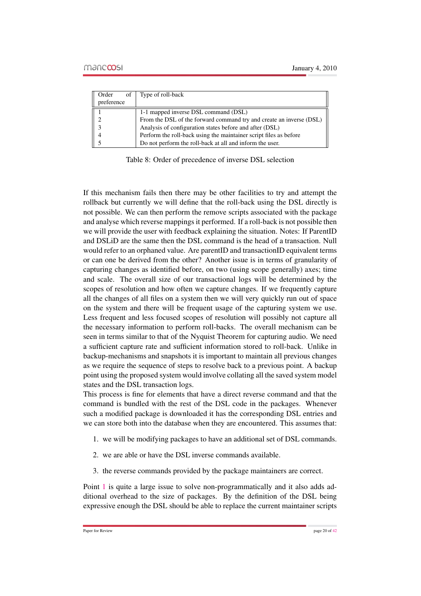| of<br>Order                 | Type of roll-back                                                   |
|-----------------------------|---------------------------------------------------------------------|
| preference                  |                                                                     |
|                             | 1-1 mapped inverse DSL command (DSL)                                |
| $\mathcal{D}_{\mathcal{L}}$ | From the DSL of the forward command try and create an inverse (DSL) |
| 3                           | Analysis of configuration states before and after (DSL)             |
|                             | Perform the roll-back using the maintainer script files as before   |
|                             | Do not perform the roll-back at all and inform the user.            |

Table 8: Order of precedence of inverse DSL selection

If this mechanism fails then there may be other facilities to try and attempt the rollback but currently we will define that the roll-back using the DSL directly is not possible. We can then perform the remove scripts associated with the package and analyse which reverse mappings it performed. If a roll-back is not possible then we will provide the user with feedback explaining the situation. Notes: If ParentID and DSLiD are the same then the DSL command is the head of a transaction. Null would refer to an orphaned value. Are parentID and transactionID equivalent terms or can one be derived from the other? Another issue is in terms of granularity of capturing changes as identified before, on two (using scope generally) axes; time and scale. The overall size of our transactional logs will be determined by the scopes of resolution and how often we capture changes. If we frequently capture all the changes of all files on a system then we will very quickly run out of space on the system and there will be frequent usage of the capturing system we use. Less frequent and less focused scopes of resolution will possibly not capture all the necessary information to perform roll-backs. The overall mechanism can be seen in terms similar to that of the Nyquist Theorem for capturing audio. We need a sufficient capture rate and sufficient information stored to roll-back. Unlike in backup-mechanisms and snapshots it is important to maintain all previous changes as we require the sequence of steps to resolve back to a previous point. A backup point using the proposed system would involve collating all the saved system model states and the DSL transaction logs.

This process is fine for elements that have a direct reverse command and that the command is bundled with the rest of the DSL code in the packages. Whenever such a modified package is downloaded it has the corresponding DSL entries and we can store both into the database when they are encountered. This assumes that:

- <span id="page-20-0"></span>1. we will be modifying packages to have an additional set of DSL commands.
- <span id="page-20-2"></span>2. we are able or have the DSL inverse commands available.
- <span id="page-20-1"></span>3. the reverse commands provided by the package maintainers are correct.

Point [1](#page-20-0) is quite a large issue to solve non-programmatically and it also adds additional overhead to the size of packages. By the definition of the DSL being expressive enough the DSL should be able to replace the current maintainer scripts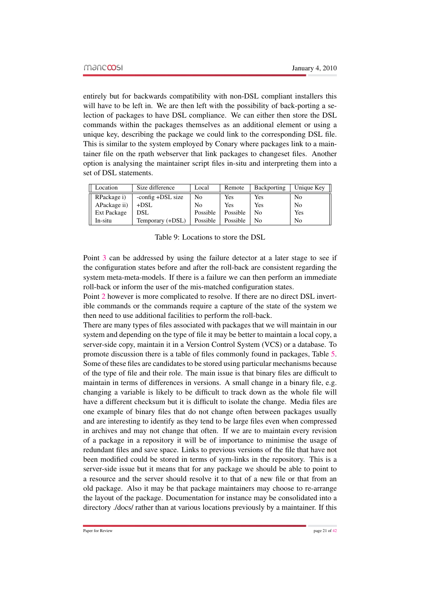entirely but for backwards compatibility with non-DSL compliant installers this will have to be left in. We are then left with the possibility of back-porting a selection of packages to have DSL compliance. We can either then store the DSL commands within the packages themselves as an additional element or using a unique key, describing the package we could link to the corresponding DSL file. This is similar to the system employed by Conary where packages link to a maintainer file on the rpath webserver that link packages to changeset files. Another option is analysing the maintainer script files in-situ and interpreting them into a set of DSL statements.

| Location     | Size difference   | Local    | Remote   | Backporting | Unique Key     |
|--------------|-------------------|----------|----------|-------------|----------------|
| RPackage i)  | -config +DSL size | No       | Yes      | Yes         | N <sub>0</sub> |
| APackage ii) | $+$ DSL           | No       | Yes      | Yes         | N <sub>0</sub> |
| Ext Package  | <b>DSL</b>        | Possible | Possible | No          | Yes            |
| In-situ      | Temporary (+DSL)  | Possible | Possible | No          | N <sub>0</sub> |

Table 9: Locations to store the DSL

Point [3](#page-20-1) can be addressed by using the failure detector at a later stage to see if the configuration states before and after the roll-back are consistent regarding the system meta-meta-models. If there is a failure we can then perform an immediate roll-back or inform the user of the mis-matched configuration states.

Point [2](#page-20-2) however is more complicated to resolve. If there are no direct DSL invertible commands or the commands require a capture of the state of the system we then need to use additional facilities to perform the roll-back.

There are many types of files associated with packages that we will maintain in our system and depending on the type of file it may be better to maintain a local copy, a server-side copy, maintain it in a Version Control System (VCS) or a database. To promote discussion there is a table of files commonly found in packages, Table [5.](#page-23-0) Some of these files are candidates to be stored using particular mechanisms because of the type of file and their role. The main issue is that binary files are difficult to maintain in terms of differences in versions. A small change in a binary file, e.g. changing a variable is likely to be difficult to track down as the whole file will have a different checksum but it is difficult to isolate the change. Media files are one example of binary files that do not change often between packages usually and are interesting to identify as they tend to be large files even when compressed in archives and may not change that often. If we are to maintain every revision of a package in a repository it will be of importance to minimise the usage of redundant files and save space. Links to previous versions of the file that have not been modified could be stored in terms of sym-links in the repository. This is a server-side issue but it means that for any package we should be able to point to a resource and the server should resolve it to that of a new file or that from an old package. Also it may be that package maintainers may choose to re-arrange the layout of the package. Documentation for instance may be consolidated into a directory ./docs/ rather than at various locations previously by a maintainer. If this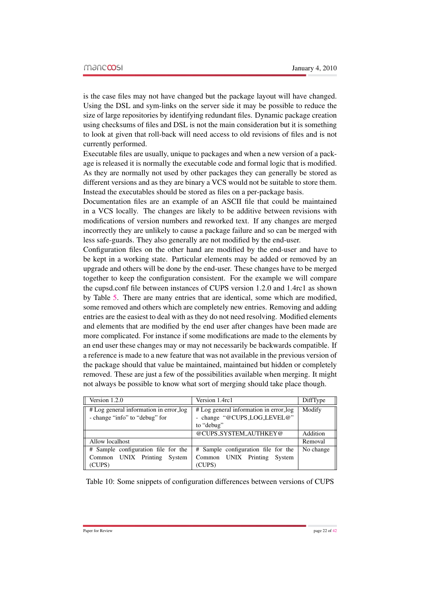is the case files may not have changed but the package layout will have changed. Using the DSL and sym-links on the server side it may be possible to reduce the size of large repositories by identifying redundant files. Dynamic package creation using checksums of files and DSL is not the main consideration but it is something to look at given that roll-back will need access to old revisions of files and is not currently performed.

Executable files are usually, unique to packages and when a new version of a package is released it is normally the executable code and formal logic that is modified. As they are normally not used by other packages they can generally be stored as different versions and as they are binary a VCS would not be suitable to store them. Instead the executables should be stored as files on a per-package basis.

Documentation files are an example of an ASCII file that could be maintained in a VCS locally. The changes are likely to be additive between revisions with modifications of version numbers and reworked text. If any changes are merged incorrectly they are unlikely to cause a package failure and so can be merged with less safe-guards. They also generally are not modified by the end-user.

Configuration files on the other hand are modified by the end-user and have to be kept in a working state. Particular elements may be added or removed by an upgrade and others will be done by the end-user. These changes have to be merged together to keep the configuration consistent. For the example we will compare the cupsd.conf file between instances of CUPS version 1.2.0 and 1.4rc1 as shown by Table [5.](#page-22-0) There are many entries that are identical, some which are modified, some removed and others which are completely new entries. Removing and adding entries are the easiest to deal with as they do not need resolving. Modified elements and elements that are modified by the end user after changes have been made are more complicated. For instance if some modifications are made to the elements by an end user these changes may or may not necessarily be backwards compatible. If a reference is made to a new feature that was not available in the previous version of the package should that value be maintained, maintained but hidden or completely removed. These are just a few of the possibilities available when merging. It might not always be possible to know what sort of merging should take place though.

| Version 1.2.0                                                            | Version 1.4rc1                                                                      | DiffType  |
|--------------------------------------------------------------------------|-------------------------------------------------------------------------------------|-----------|
| # Log general information in error_log<br>- change "info" to "debug" for | # Log general information in error_log<br>- change "@CUPS_LOG_LEVEL@"<br>to "debug" | Modify    |
|                                                                          | @CUPS_SYSTEM_AUTHKEY@                                                               | Addition  |
| Allow localhost                                                          |                                                                                     | Removal   |
| # Sample configuration file for the                                      | # Sample configuration file for the                                                 | No change |
| Common UNIX Printing System                                              | Common UNIX Printing System                                                         |           |
| (CUPS)                                                                   | (CUPS)                                                                              |           |

<span id="page-22-0"></span>Table 10: Some snippets of configuration differences between versions of CUPS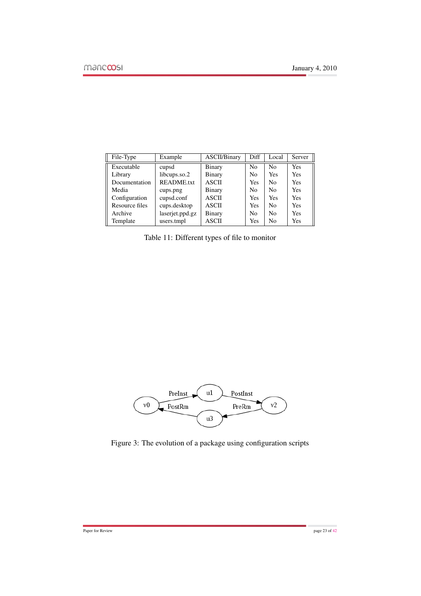| File-Type      | Example           | <b>ASCII/Binary</b> | Diff           | Local          | Server     |
|----------------|-------------------|---------------------|----------------|----------------|------------|
| Executable     | cupsd             | <b>Binary</b>       | No             | N <sub>0</sub> | Yes        |
| Library        | libcups.so.2      | Binary              | N <sub>0</sub> | Yes            | Yes        |
| Documentation  | <b>README.txt</b> | <b>ASCII</b>        | <b>Yes</b>     | No             | Yes        |
| Media          | cups.png          | Binary              | N <sub>0</sub> | No             | <b>Yes</b> |
| Configuration  | cupsd.conf        | <b>ASCII</b>        | <b>Yes</b>     | Yes            | <b>Yes</b> |
| Resource files | cups.desktop      | <b>ASCII</b>        | Yes            | No             | Yes        |
| Archive        | laserjet.ppd.gz   | <b>Binary</b>       | No             | No             | Yes        |
| Template       | users.tmpl        | <b>ASCII</b>        | Yes            | No             | Yes        |

<span id="page-23-0"></span>Table 11: Different types of file to monitor



Figure 3: The evolution of a package using configuration scripts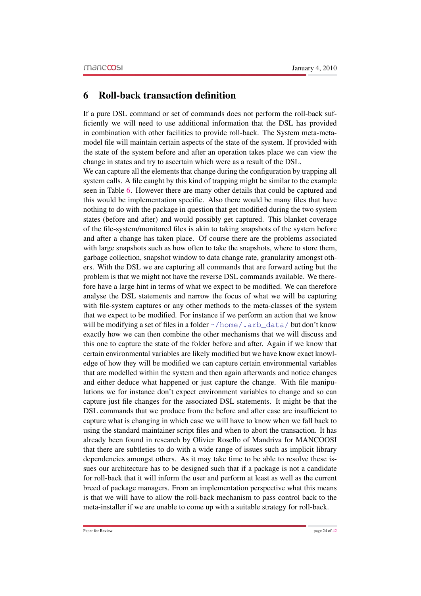# 6 Roll-back transaction definition

If a pure DSL command or set of commands does not perform the roll-back sufficiently we will need to use additional information that the DSL has provided in combination with other facilities to provide roll-back. The System meta-metamodel file will maintain certain aspects of the state of the system. If provided with the state of the system before and after an operation takes place we can view the change in states and try to ascertain which were as a result of the DSL.

We can capture all the elements that change during the configuration by trapping all system calls. A file caught by this kind of trapping might be similar to the example seen in Table [6.](#page-25-0) However there are many other details that could be captured and this would be implementation specific. Also there would be many files that have nothing to do with the package in question that get modified during the two system states (before and after) and would possibly get captured. This blanket coverage of the file-system/monitored files is akin to taking snapshots of the system before and after a change has taken place. Of course there are the problems associated with large snapshots such as how often to take the snapshots, where to store them, garbage collection, snapshot window to data change rate, granularity amongst others. With the DSL we are capturing all commands that are forward acting but the problem is that we might not have the reverse DSL commands available. We therefore have a large hint in terms of what we expect to be modified. We can therefore analyse the DSL statements and narrow the focus of what we will be capturing with file-system captures or any other methods to the meta-classes of the system that we expect to be modified. For instance if we perform an action that we know will be modifying a set of files in a folder  $\gamma$  home  $\gamma$ , arb\_data/ but don't know exactly how we can then combine the other mechanisms that we will discuss and this one to capture the state of the folder before and after. Again if we know that certain environmental variables are likely modified but we have know exact knowledge of how they will be modified we can capture certain environmental variables that are modelled within the system and then again afterwards and notice changes and either deduce what happened or just capture the change. With file manipulations we for instance don't expect environment variables to change and so can capture just file changes for the associated DSL statements. It might be that the DSL commands that we produce from the before and after case are insufficient to capture what is changing in which case we will have to know when we fall back to using the standard maintainer script files and when to abort the transaction. It has already been found in research by Olivier Rosello of Mandriva for MANCOOSI that there are subtleties to do with a wide range of issues such as implicit library dependencies amongst others. As it may take time to be able to resolve these issues our architecture has to be designed such that if a package is not a candidate for roll-back that it will inform the user and perform at least as well as the current breed of package managers. From an implementation perspective what this means is that we will have to allow the roll-back mechanism to pass control back to the meta-installer if we are unable to come up with a suitable strategy for roll-back.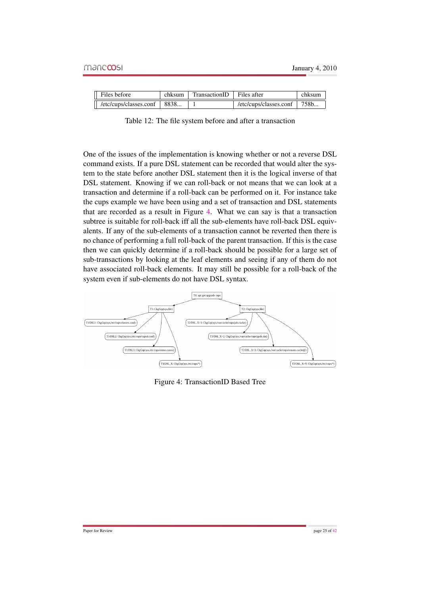| $\parallel$ Files before      | chksum | $TransactionID$ Files after |                                        | chksum |
|-------------------------------|--------|-----------------------------|----------------------------------------|--------|
| /etc/cups/classes.conf   8838 |        |                             | $\lvert$ /etc/cups/classes.conf   758b |        |

<span id="page-25-0"></span>Table 12: The file system before and after a transaction

One of the issues of the implementation is knowing whether or not a reverse DSL command exists. If a pure DSL statement can be recorded that would alter the system to the state before another DSL statement then it is the logical inverse of that DSL statement. Knowing if we can roll-back or not means that we can look at a transaction and determine if a roll-back can be performed on it. For instance take the cups example we have been using and a set of transaction and DSL statements that are recorded as a result in Figure [4.](#page-25-1) What we can say is that a transaction subtree is suitable for roll-back iff all the sub-elements have roll-back DSL equivalents. If any of the sub-elements of a transaction cannot be reverted then there is no chance of performing a full roll-back of the parent transaction. If this is the case then we can quickly determine if a roll-back should be possible for a large set of sub-transactions by looking at the leaf elements and seeing if any of them do not have associated roll-back elements. It may still be possible for a roll-back of the system even if sub-elements do not have DSL syntax.



<span id="page-25-1"></span>Figure 4: TransactionID Based Tree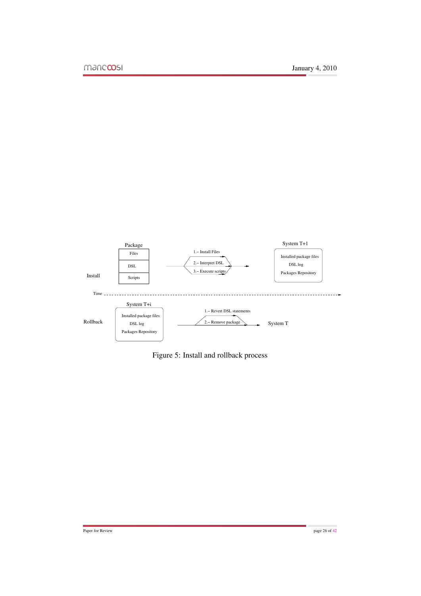

Figure 5: Install and rollback process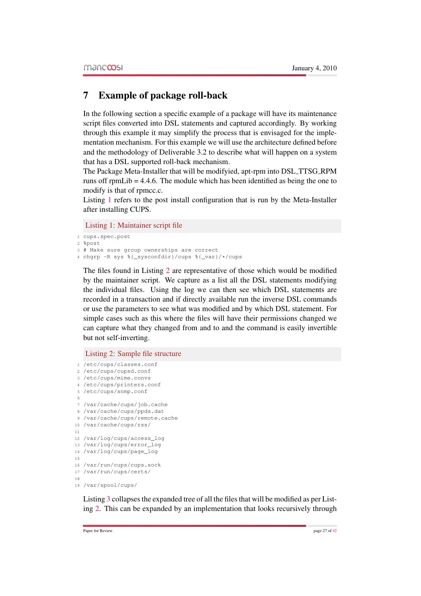# 7 Example of package roll-back

In the following section a specific example of a package will have its maintenance script files converted into DSL statements and captured accordingly. By working through this example it may simplify the process that is envisaged for the implementation mechanism. For this example we will use the architecture defined before and the methodology of Deliverable 3.2 to describe what will happen on a system that has a DSL supported roll-back mechanism.

The Package Meta-Installer that will be modifyied, apt-rpm into DSL TTSG RPM runs off rpmLib = 4.4.6. The module which has been identified as being the one to modify is that of rpmcc.c.

Listing [1](#page-27-0) refers to the post install configuration that is run by the Meta-Installer after installing CUPS.

<span id="page-27-0"></span>Listing 1: Maintainer script file

```
1 cups.spec.post
```

```
2 %post
```

```
3 # Make sure group ownerships are correct
```

```
4 chgrp -R sys %{_sysconfdir}/cups %{_var}/*/cups
```
The files found in Listing [2](#page-27-1) are representative of those which would be modified by the maintainer script. We capture as a list all the DSL statements modifying the individual files. Using the log we can then see which DSL statements are recorded in a transaction and if directly available run the inverse DSL commands or use the parameters to see what was modified and by which DSL statement. For simple cases such as this where the files will have their permissions changed we can capture what they changed from and to and the command is easily invertible but not self-inverting.

<span id="page-27-1"></span>Listing 2: Sample file structure

```
1 /etc/cups/classes.conf
2 /etc/cups/cupsd.conf
3 /etc/cups/mime.convs
4 /etc/cups/printers.conf
5 /etc/cups/snmp.conf
6
7 /var/cache/cups/job.cache
8 /var/cache/cups/ppds.dat
9 /var/cache/cups/remote.cache
10 /var/cache/cups/rss/
11
12 /var/log/cups/access_log
13 /var/log/cups/error_log
14 /var/log/cups/page_log
15
16 /var/run/cups/cups.sock
17 /var/run/cups/certs/
18
19 /var/spool/cups/
```
Listing [3](#page-28-0) collapses the expanded tree of all the files that will be modified as per Listing [2.](#page-27-1) This can be expanded by an implementation that looks recursively through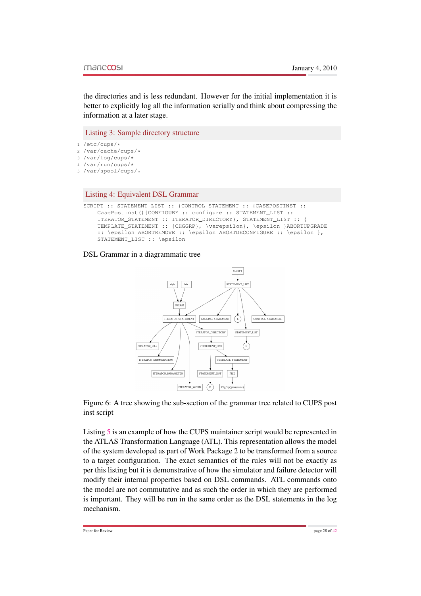the directories and is less redundant. However for the initial implementation it is better to explicitly log all the information serially and think about compressing the information at a later stage.

<span id="page-28-0"></span>Listing 3: Sample directory structure

- <sup>1</sup> /etc/cups/\*
- <sup>2</sup> /var/cache/cups/\*
- <sup>3</sup> /var/log/cups/\*
- <sup>4</sup> /var/run/cups/\*
- <sup>5</sup> /var/spool/cups/\*

#### Listing 4: Equivalent DSL Grammar

```
SCRIPT :: STATEMENT_LIST :: {CONTROL_STATEMENT :: {CASEPOSTINST ::
    CasePostinst(){CONFIGURE :: configure :: STATEMENT_LIST ::
    ITERATOR_STATEMENT :: ITERATOR_DIRECTORY}, STATEMENT_LIST :: {
    TEMPLATE_STATEMENT :: {CHGGRP}, \varepsilon}, \epsilon }ABORTUPGRADE
    :: \epsilon ABORTREMOVE :: \epsilon ABORTDECONFIGURE :: \epsilon },
    STATEMENT_LIST :: \epsilon
```
#### DSL Grammar in a diagrammatic tree



Figure 6: A tree showing the sub-section of the grammar tree related to CUPS post inst script

Listing [5](#page-29-0) is an example of how the CUPS maintainer script would be represented in the ATLAS Transformation Language (ATL). This representation allows the model of the system developed as part of Work Package 2 to be transformed from a source to a target configuration. The exact semantics of the rules will not be exactly as per this listing but it is demonstrative of how the simulator and failure detector will modify their internal properties based on DSL commands. ATL commands onto the model are not commutative and as such the order in which they are performed is important. They will be run in the same order as the DSL statements in the log mechanism.

Paper for Review page 28 of [42](#page-42-1)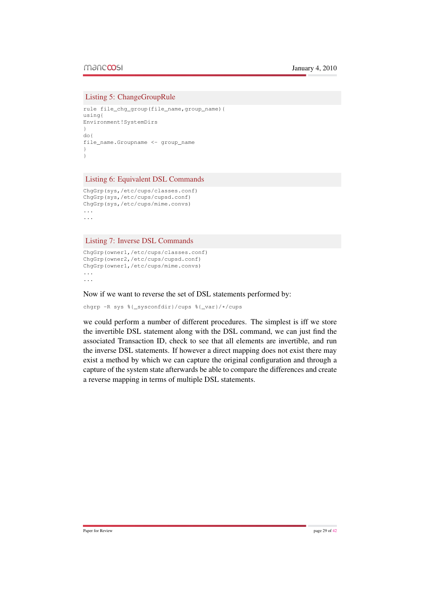#### <span id="page-29-0"></span>Listing 5: ChangeGroupRule

```
rule file_chg_group(file_name,group_name){
using{
Environment!SystemDirs
}
do{
file_name.Groupname <- group_name
}
}
```
#### Listing 6: Equivalent DSL Commands

```
ChgGrp(sys,/etc/cups/classes.conf)
ChgGrp(sys,/etc/cups/cupsd.conf)
ChgGrp(sys,/etc/cups/mime.convs)
...
...
```
Listing 7: Inverse DSL Commands

```
ChgGrp(owner1,/etc/cups/classes.conf)
ChgGrp(owner2,/etc/cups/cupsd.conf)
ChgGrp(owner1,/etc/cups/mime.convs)
...
...
```
Now if we want to reverse the set of DSL statements performed by:

```
chgrp -R sys %{_sysconfdir}/cups %{_var}/*/cups
```
we could perform a number of different procedures. The simplest is iff we store the invertible DSL statement along with the DSL command, we can just find the associated Transaction ID, check to see that all elements are invertible, and run the inverse DSL statements. If however a direct mapping does not exist there may exist a method by which we can capture the original configuration and through a capture of the system state afterwards be able to compare the differences and create a reverse mapping in terms of multiple DSL statements.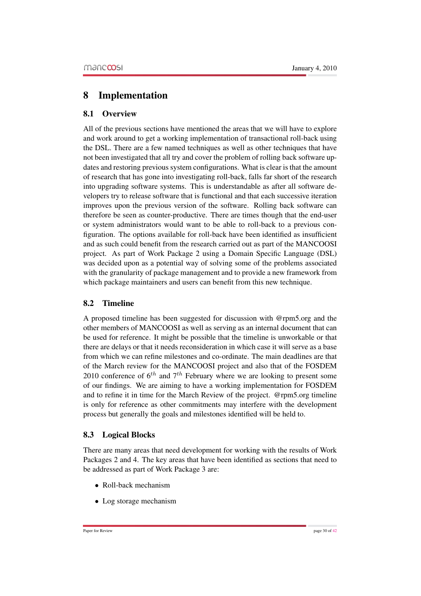# 8 Implementation

## 8.1 Overview

All of the previous sections have mentioned the areas that we will have to explore and work around to get a working implementation of transactional roll-back using the DSL. There are a few named techniques as well as other techniques that have not been investigated that all try and cover the problem of rolling back software updates and restoring previous system configurations. What is clear is that the amount of research that has gone into investigating roll-back, falls far short of the research into upgrading software systems. This is understandable as after all software developers try to release software that is functional and that each successive iteration improves upon the previous version of the software. Rolling back software can therefore be seen as counter-productive. There are times though that the end-user or system administrators would want to be able to roll-back to a previous configuration. The options available for roll-back have been identified as insufficient and as such could benefit from the research carried out as part of the MANCOOSI project. As part of Work Package 2 using a Domain Specific Language (DSL) was decided upon as a potential way of solving some of the problems associated with the granularity of package management and to provide a new framework from which package maintainers and users can benefit from this new technique.

# 8.2 Timeline

A proposed timeline has been suggested for discussion with @rpm5.org and the other members of MANCOOSI as well as serving as an internal document that can be used for reference. It might be possible that the timeline is unworkable or that there are delays or that it needs reconsideration in which case it will serve as a base from which we can refine milestones and co-ordinate. The main deadlines are that of the March review for the MANCOOSI project and also that of the FOSDEM 2010 conference of  $6^{th}$  and  $7^{th}$  February where we are looking to present some of our findings. We are aiming to have a working implementation for FOSDEM and to refine it in time for the March Review of the project. @rpm5.org timeline is only for reference as other commitments may interfere with the development process but generally the goals and milestones identified will be held to.

### 8.3 Logical Blocks

There are many areas that need development for working with the results of Work Packages 2 and 4. The key areas that have been identified as sections that need to be addressed as part of Work Package 3 are:

- Roll-back mechanism
- Log storage mechanism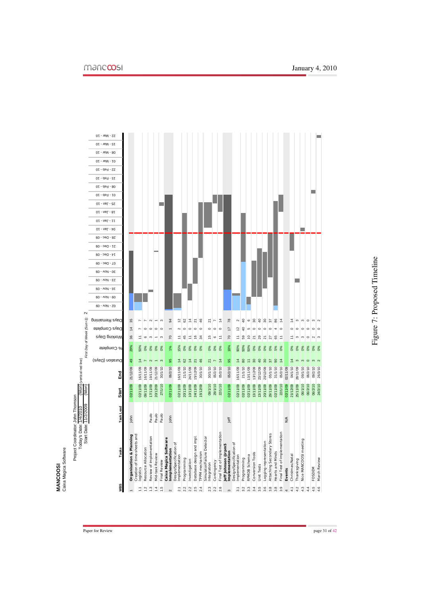<span id="page-31-0"></span>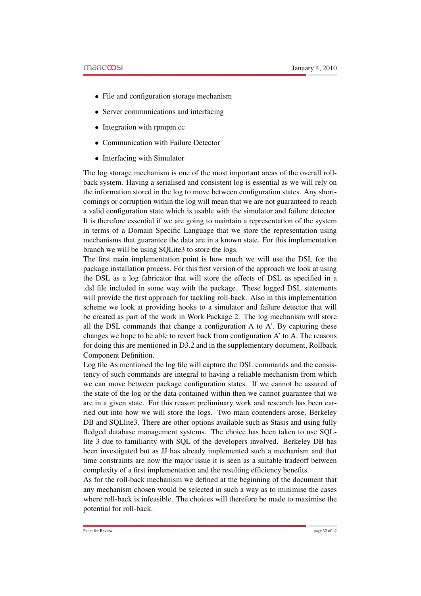- File and configuration storage mechanism
- Server communications and interfacing
- Integration with rpmpm.cc
- Communication with Failure Detector
- Interfacing with Simulator

The log storage mechanism is one of the most important areas of the overall rollback system. Having a serialised and consistent log is essential as we will rely on the information stored in the log to move between configuration states. Any shortcomings or corruption within the log will mean that we are not guaranteed to reach a valid configuration state which is usable with the simulator and failure detector. It is therefore essential if we are going to maintain a representation of the system in terms of a Domain Specific Language that we store the representation using mechanisms that guarantee the data are in a known state. For this implementation branch we will be using SQLite3 to store the logs.

The first main implementation point is how much we will use the DSL for the package installation process. For this first version of the approach we look at using the DSL as a log fabricator that will store the effects of DSL as specified in a .dsl file included in some way with the package. These logged DSL statements will provide the first approach for tackling roll-back. Also in this implementation scheme we look at providing hooks to a simulator and failure detector that will be created as part of the work in Work Package 2. The log mechanism will store all the DSL commands that change a configuration A to A'. By capturing these changes we hope to be able to revert back from configuration A' to A. The reasons for doing this are mentioned in D3.2 and in the supplementary document, Rollback Component Definition.

Log file As mentioned the log file will capture the DSL commands and the consistency of such commands are integral to having a reliable mechanism from which we can move between package configuration states. If we cannot be assured of the state of the log or the data contained within then we cannot guarantee that we are in a given state. For this reason preliminary work and research has been carried out into how we will store the logs. Two main contenders arose, Berkeley DB and SQL lite 3. There are other options available such as Stasis and using fully fledged database management systems. The choice has been taken to use SQLlite 3 due to familiarity with SQL of the developers involved. Berkeley DB has been investigated but as JJ has already implemented such a mechanism and that time constraints are now the major issue it is seen as a suitable tradeoff between complexity of a first implementation and the resulting efficiency benefits.

As for the roll-back mechanism we defined at the beginning of the document that any mechanism chosen would be selected in such a way as to minimise the cases where roll-back is infeasible. The choices will therefore be made to maximise the potential for roll-back.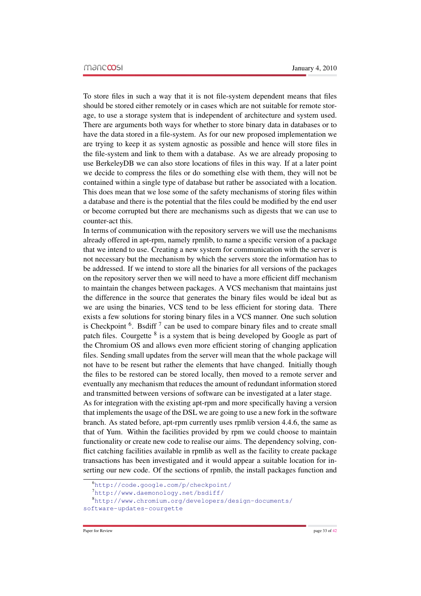To store files in such a way that it is not file-system dependent means that files should be stored either remotely or in cases which are not suitable for remote storage, to use a storage system that is independent of architecture and system used. There are arguments both ways for whether to store binary data in databases or to have the data stored in a file-system. As for our new proposed implementation we are trying to keep it as system agnostic as possible and hence will store files in the file-system and link to them with a database. As we are already proposing to use BerkeleyDB we can also store locations of files in this way. If at a later point we decide to compress the files or do something else with them, they will not be contained within a single type of database but rather be associated with a location. This does mean that we lose some of the safety mechanisms of storing files within a database and there is the potential that the files could be modified by the end user or become corrupted but there are mechanisms such as digests that we can use to counter-act this.

In terms of communication with the repository servers we will use the mechanisms already offered in apt-rpm, namely rpmlib, to name a specific version of a package that we intend to use. Creating a new system for communication with the server is not necessary but the mechanism by which the servers store the information has to be addressed. If we intend to store all the binaries for all versions of the packages on the repository server then we will need to have a more efficient diff mechanism to maintain the changes between packages. A VCS mechanism that maintains just the difference in the source that generates the binary files would be ideal but as we are using the binaries, VCS tend to be less efficient for storing data. There exists a few solutions for storing binary files in a VCS manner. One such solution is Checkpoint  $6$ . Bsdiff  $7$  can be used to compare binary files and to create small patch files. Courgette <sup>8</sup> is a system that is being developed by Google as part of the Chromium OS and allows even more efficient storing of changing application files. Sending small updates from the server will mean that the whole package will not have to be resent but rather the elements that have changed. Initially though the files to be restored can be stored locally, then moved to a remote server and eventually any mechanism that reduces the amount of redundant information stored and transmitted between versions of software can be investigated at a later stage.

As for integration with the existing apt-rpm and more specifically having a version that implements the usage of the DSL we are going to use a new fork in the software branch. As stated before, apt-rpm currently uses rpmlib version 4.4.6, the same as that of Yum. Within the facilities provided by rpm we could choose to maintain functionality or create new code to realise our aims. The dependency solving, conflict catching facilities available in rpmlib as well as the facility to create package transactions has been investigated and it would appear a suitable location for inserting our new code. Of the sections of rpmlib, the install packages function and

<sup>6</sup><http://code.google.com/p/checkpoint/>

<sup>7</sup><http://www.daemonology.net/bsdiff/>

<sup>8</sup>[http://www.chromium.org/developers/design-documents/](http://www.chromium.org/developers/design-documents/software-updates-courgette) [software-updates-courgette](http://www.chromium.org/developers/design-documents/software-updates-courgette)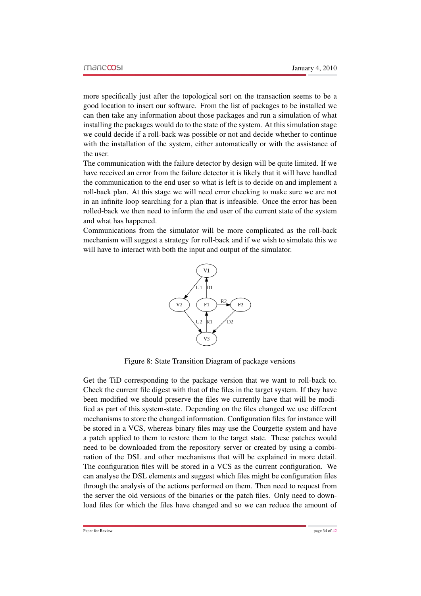more specifically just after the topological sort on the transaction seems to be a good location to insert our software. From the list of packages to be installed we can then take any information about those packages and run a simulation of what installing the packages would do to the state of the system. At this simulation stage we could decide if a roll-back was possible or not and decide whether to continue with the installation of the system, either automatically or with the assistance of the user.

The communication with the failure detector by design will be quite limited. If we have received an error from the failure detector it is likely that it will have handled the communication to the end user so what is left is to decide on and implement a roll-back plan. At this stage we will need error checking to make sure we are not in an infinite loop searching for a plan that is infeasible. Once the error has been rolled-back we then need to inform the end user of the current state of the system and what has happened.

Communications from the simulator will be more complicated as the roll-back mechanism will suggest a strategy for roll-back and if we wish to simulate this we will have to interact with both the input and output of the simulator.



Figure 8: State Transition Diagram of package versions

Get the TiD corresponding to the package version that we want to roll-back to. Check the current file digest with that of the files in the target system. If they have been modified we should preserve the files we currently have that will be modified as part of this system-state. Depending on the files changed we use different mechanisms to store the changed information. Configuration files for instance will be stored in a VCS, whereas binary files may use the Courgette system and have a patch applied to them to restore them to the target state. These patches would need to be downloaded from the repository server or created by using a combination of the DSL and other mechanisms that will be explained in more detail. The configuration files will be stored in a VCS as the current configuration. We can analyse the DSL elements and suggest which files might be configuration files through the analysis of the actions performed on them. Then need to request from the server the old versions of the binaries or the patch files. Only need to download files for which the files have changed and so we can reduce the amount of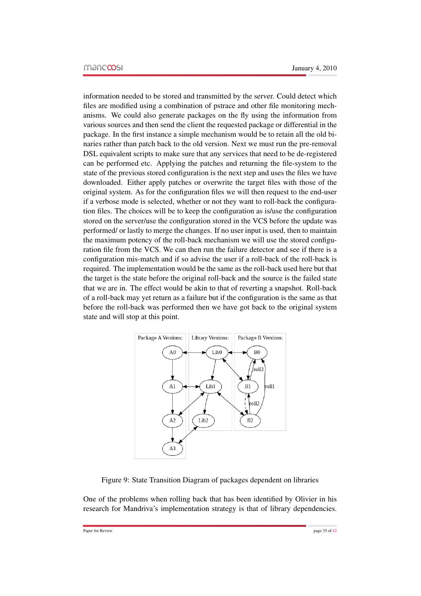information needed to be stored and transmitted by the server. Could detect which files are modified using a combination of pstrace and other file monitoring mechanisms. We could also generate packages on the fly using the information from various sources and then send the client the requested package or differential in the package. In the first instance a simple mechanism would be to retain all the old binaries rather than patch back to the old version. Next we must run the pre-removal DSL equivalent scripts to make sure that any services that need to be de-registered can be performed etc. Applying the patches and returning the file-system to the state of the previous stored configuration is the next step and uses the files we have downloaded. Either apply patches or overwrite the target files with those of the original system. As for the configuration files we will then request to the end-user if a verbose mode is selected, whether or not they want to roll-back the configuration files. The choices will be to keep the configuration as is/use the configuration stored on the server/use the configuration stored in the VCS before the update was performed/ or lastly to merge the changes. If no user input is used, then to maintain the maximum potency of the roll-back mechanism we will use the stored configuration file from the VCS. We can then run the failure detector and see if there is a configuration mis-match and if so advise the user if a roll-back of the roll-back is required. The implementation would be the same as the roll-back used here but that the target is the state before the original roll-back and the source is the failed state that we are in. The effect would be akin to that of reverting a snapshot. Roll-back of a roll-back may yet return as a failure but if the configuration is the same as that before the roll-back was performed then we have got back to the original system state and will stop at this point.



<span id="page-35-0"></span>Figure 9: State Transition Diagram of packages dependent on libraries

One of the problems when rolling back that has been identified by Olivier in his research for Mandriva's implementation strategy is that of library dependencies.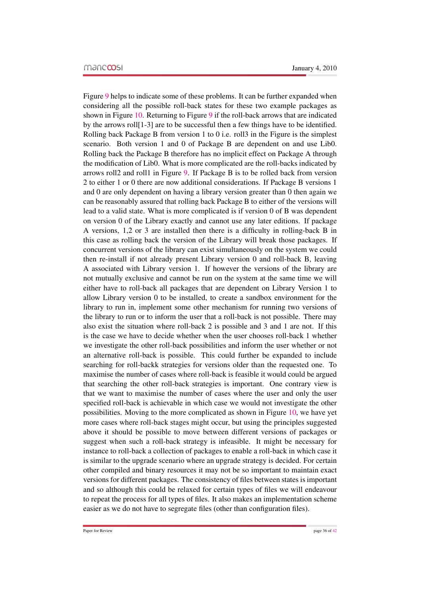Figure [9](#page-35-0) helps to indicate some of these problems. It can be further expanded when considering all the possible roll-back states for these two example packages as shown in Figure [10.](#page-37-0) Returning to Figure [9](#page-35-0) if the roll-back arrows that are indicated by the arrows roll[1-3] are to be successful then a few things have to be identified. Rolling back Package B from version 1 to 0 i.e. roll3 in the Figure is the simplest scenario. Both version 1 and 0 of Package B are dependent on and use Lib0. Rolling back the Package B therefore has no implicit effect on Package A through the modification of Lib0. What is more complicated are the roll-backs indicated by arrows roll2 and roll1 in Figure [9.](#page-35-0) If Package B is to be rolled back from version 2 to either 1 or 0 there are now additional considerations. If Package B versions 1 and 0 are only dependent on having a library version greater than 0 then again we can be reasonably assured that rolling back Package B to either of the versions will lead to a valid state. What is more complicated is if version 0 of B was dependent on version 0 of the Library exactly and cannot use any later editions. If package A versions, 1,2 or 3 are installed then there is a difficulty in rolling-back B in this case as rolling back the version of the Library will break those packages. If concurrent versions of the library can exist simultaneously on the system we could then re-install if not already present Library version 0 and roll-back B, leaving A associated with Library version 1. If however the versions of the library are not mutually exclusive and cannot be run on the system at the same time we will either have to roll-back all packages that are dependent on Library Version 1 to allow Library version 0 to be installed, to create a sandbox environment for the library to run in, implement some other mechanism for running two versions of the library to run or to inform the user that a roll-back is not possible. There may also exist the situation where roll-back 2 is possible and 3 and 1 are not. If this is the case we have to decide whether when the user chooses roll-back 1 whether we investigate the other roll-back possibilities and inform the user whether or not an alternative roll-back is possible. This could further be expanded to include searching for roll-backk strategies for versions older than the requested one. To maximise the number of cases where roll-back is feasible it would could be argued that searching the other roll-back strategies is important. One contrary view is that we want to maximise the number of cases where the user and only the user specified roll-back is achievable in which case we would not investigate the other possibilities. Moving to the more complicated as shown in Figure [10,](#page-37-0) we have yet more cases where roll-back stages might occur, but using the principles suggested above it should be possible to move between different versions of packages or suggest when such a roll-back strategy is infeasible. It might be necessary for instance to roll-back a collection of packages to enable a roll-back in which case it is similar to the upgrade scenario where an upgrade strategy is decided. For certain other compiled and binary resources it may not be so important to maintain exact versions for different packages. The consistency of files between states is important and so although this could be relaxed for certain types of files we will endeavour to repeat the process for all types of files. It also makes an implementation scheme easier as we do not have to segregate files (other than configuration files).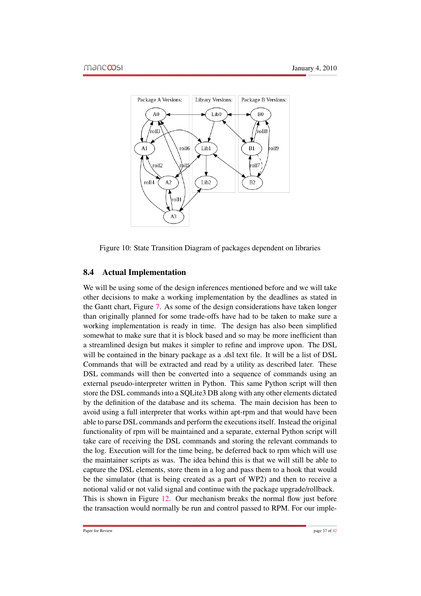

<span id="page-37-0"></span>Figure 10: State Transition Diagram of packages dependent on libraries

### 8.4 Actual Implementation

We will be using some of the design inferences mentioned before and we will take other decisions to make a working implementation by the deadlines as stated in the Gantt chart, Figure [7.](#page-31-0) As some of the design considerations have taken longer than originally planned for some trade-offs have had to be taken to make sure a working implementation is ready in time. The design has also been simplified somewhat to make sure that it is block based and so may be more inefficient than a streamlined design but makes it simpler to refine and improve upon. The DSL will be contained in the binary package as a .dsl text file. It will be a list of DSL Commands that will be extracted and read by a utility as described later. These DSL commands will then be converted into a sequence of commands using an external pseudo-interpreter written in Python. This same Python script will then store the DSL commands into a SQLite3 DB along with any other elements dictated by the definition of the database and its schema. The main decision has been to avoid using a full interpreter that works within apt-rpm and that would have been able to parse DSL commands and perform the executions itself. Instead the original functionality of rpm will be maintained and a separate, external Python script will take care of receiving the DSL commands and storing the relevant commands to the log. Execution will for the time being, be deferred back to rpm which will use the maintainer scripts as was. The idea behind this is that we will still be able to capture the DSL elements, store them in a log and pass them to a hook that would be the simulator (that is being created as a part of WP2) and then to receive a notional valid or not valid signal and continue with the package upgrade/rollback. This is shown in Figure [12.](#page-39-0) Our mechanism breaks the normal flow just before the transaction would normally be run and control passed to RPM. For our imple-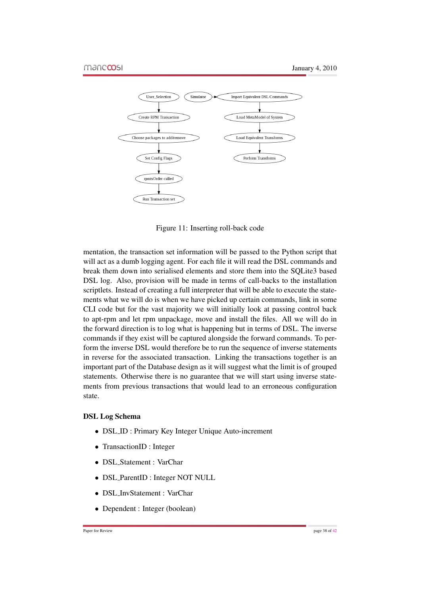

Figure 11: Inserting roll-back code

mentation, the transaction set information will be passed to the Python script that will act as a dumb logging agent. For each file it will read the DSL commands and break them down into serialised elements and store them into the SQLite3 based DSL log. Also, provision will be made in terms of call-backs to the installation scriptlets. Instead of creating a full interpreter that will be able to execute the statements what we will do is when we have picked up certain commands, link in some CLI code but for the vast majority we will initially look at passing control back to apt-rpm and let rpm unpackage, move and install the files. All we will do in the forward direction is to log what is happening but in terms of DSL. The inverse commands if they exist will be captured alongside the forward commands. To perform the inverse DSL would therefore be to run the sequence of inverse statements in reverse for the associated transaction. Linking the transactions together is an important part of the Database design as it will suggest what the limit is of grouped statements. Otherwise there is no guarantee that we will start using inverse statements from previous transactions that would lead to an erroneous configuration state.

#### DSL Log Schema

- DSL\_ID : Primary Key Integer Unique Auto-increment
- TransactionID : Integer
- DSL Statement : VarChar
- DSL ParentID : Integer NOT NULL
- DSL InvStatement : VarChar
- Dependent : Integer (boolean)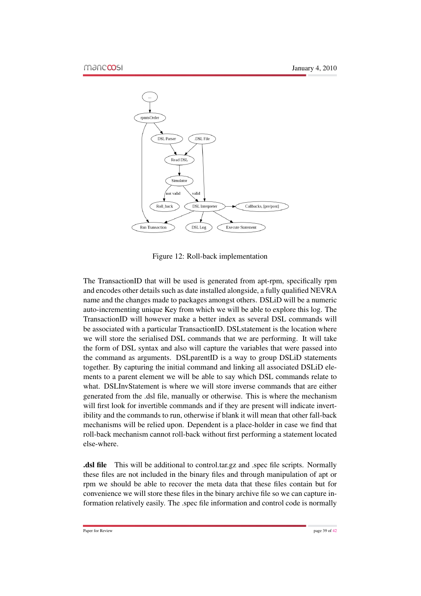

<span id="page-39-0"></span>Figure 12: Roll-back implementation

The TransactionID that will be used is generated from apt-rpm, specifically rpm and encodes other details such as date installed alongside, a fully qualified NEVRA name and the changes made to packages amongst others. DSLiD will be a numeric auto-incrementing unique Key from which we will be able to explore this log. The TransactionID will however make a better index as several DSL commands will be associated with a particular TransactionID. DSL statement is the location where we will store the serialised DSL commands that we are performing. It will take the form of DSL syntax and also will capture the variables that were passed into the command as arguments. DSLparentID is a way to group DSLiD statements together. By capturing the initial command and linking all associated DSLiD elements to a parent element we will be able to say which DSL commands relate to what. DSLInvStatement is where we will store inverse commands that are either generated from the .dsl file, manually or otherwise. This is where the mechanism will first look for invertible commands and if they are present will indicate invertibility and the commands to run, otherwise if blank it will mean that other fall-back mechanisms will be relied upon. Dependent is a place-holder in case we find that roll-back mechanism cannot roll-back without first performing a statement located else-where.

.dsl file This will be additional to control.tar.gz and .spec file scripts. Normally these files are not included in the binary files and through manipulation of apt or rpm we should be able to recover the meta data that these files contain but for convenience we will store these files in the binary archive file so we can capture information relatively easily. The .spec file information and control code is normally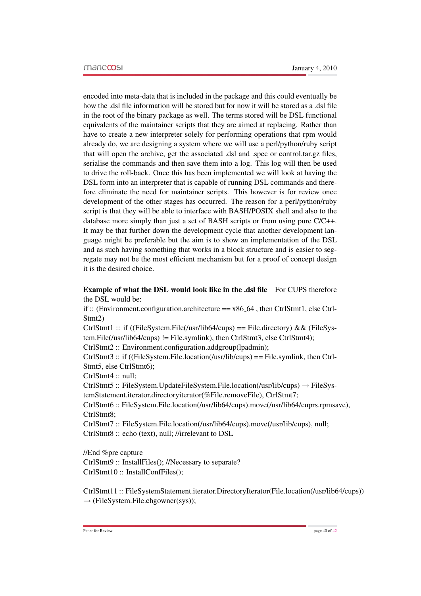encoded into meta-data that is included in the package and this could eventually be how the .dsl file information will be stored but for now it will be stored as a .dsl file in the root of the binary package as well. The terms stored will be DSL functional equivalents of the maintainer scripts that they are aimed at replacing. Rather than have to create a new interpreter solely for performing operations that rpm would already do, we are designing a system where we will use a perl/python/ruby script that will open the archive, get the associated .dsl and .spec or control.tar.gz files, serialise the commands and then save them into a log. This log will then be used to drive the roll-back. Once this has been implemented we will look at having the DSL form into an interpreter that is capable of running DSL commands and therefore eliminate the need for maintainer scripts. This however is for review once development of the other stages has occurred. The reason for a perl/python/ruby script is that they will be able to interface with BASH/POSIX shell and also to the database more simply than just a set of BASH scripts or from using pure C/C++. It may be that further down the development cycle that another development language might be preferable but the aim is to show an implementation of the DSL and as such having something that works in a block structure and is easier to segregate may not be the most efficient mechanism but for a proof of concept design it is the desired choice.

### Example of what the DSL would look like in the .dsl file For CUPS therefore the DSL would be:

if :: (Environment.configuration.architecture  $== x86_64$ , then CtrlStmt1, else Ctrl-Stmt2)

CtrlStmt1 :: if ((FileSystem.File(/usr/lib64/cups) == File.directory) && (FileSystem.File(/usr/lib64/cups) != File.symlink), then CtrlStmt3, else CtrlStmt4);

CtrlStmt2 :: Environment.configuration.addgroup(lpadmin);

CtrlStmt3 :: if ((FileSystem.File.location(/usr/lib/cups) == File.symlink, then Ctrl-Stmt5, else CtrlStmt6);

CtrlStmt4 :: null;

CtrlStmt5 :: FileSystem.UpdateFileSystem.File.location(/usr/lib/cups)  $\rightarrow$  FileSystemStatement.iterator.directoryiterator(%File.removeFile), CtrlStmt7;

CtrlStmt6 :: FileSystem.File.location(/usr/lib64/cups).move(/usr/lib64/cuprs.rpmsave), CtrlStmt8;

CtrlStmt7 :: FileSystem.File.location(/usr/lib64/cups).move(/usr/lib/cups), null; CtrlStmt8 :: echo (text), null; //irrelevant to DSL

//End %pre capture

CtrlStmt9 :: InstallFiles(); //Necessary to separate? CtrlStmt10 :: InstallConfFiles();

CtrlStmt11 :: FileSystemStatement.iterator.DirectoryIterator(File.location(/usr/lib64/cups))  $\rightarrow$  (FileSystem.File.chgowner(sys));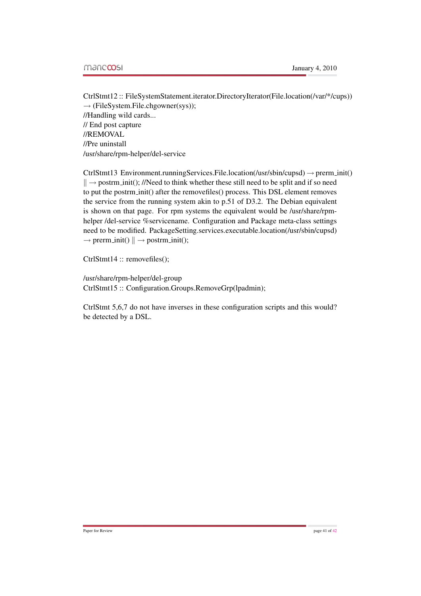CtrlStmt12 :: FileSystemStatement.iterator.DirectoryIterator(File.location(/var/\*/cups))  $\rightarrow$  (FileSystem.File.chgowner(sys)); //Handling wild cards... // End post capture //REMOVAL //Pre uninstall /usr/share/rpm-helper/del-service

 $CtrlStmt13 Environment.runningServices. File. location (usr/sbin/cupsd) \rightarrow premium(i)$  $\| \rightarrow$  postrm init(); //Need to think whether these still need to be split and if so need to put the postrm init() after the removefiles() process. This DSL element removes the service from the running system akin to p.51 of D3.2. The Debian equivalent is shown on that page. For rpm systems the equivalent would be /usr/share/rpmhelper /del-service %servicename. Configuration and Package meta-class settings need to be modified. PackageSetting.services.executable.location(/usr/sbin/cupsd)  $\rightarrow$  prerm\_init()  $\parallel \rightarrow$  postrm\_init();

CtrlStmt14 :: removefiles();

/usr/share/rpm-helper/del-group CtrlStmt15 :: Configuration.Groups.RemoveGrp(lpadmin);

CtrlStmt 5,6,7 do not have inverses in these configuration scripts and this would? be detected by a DSL.